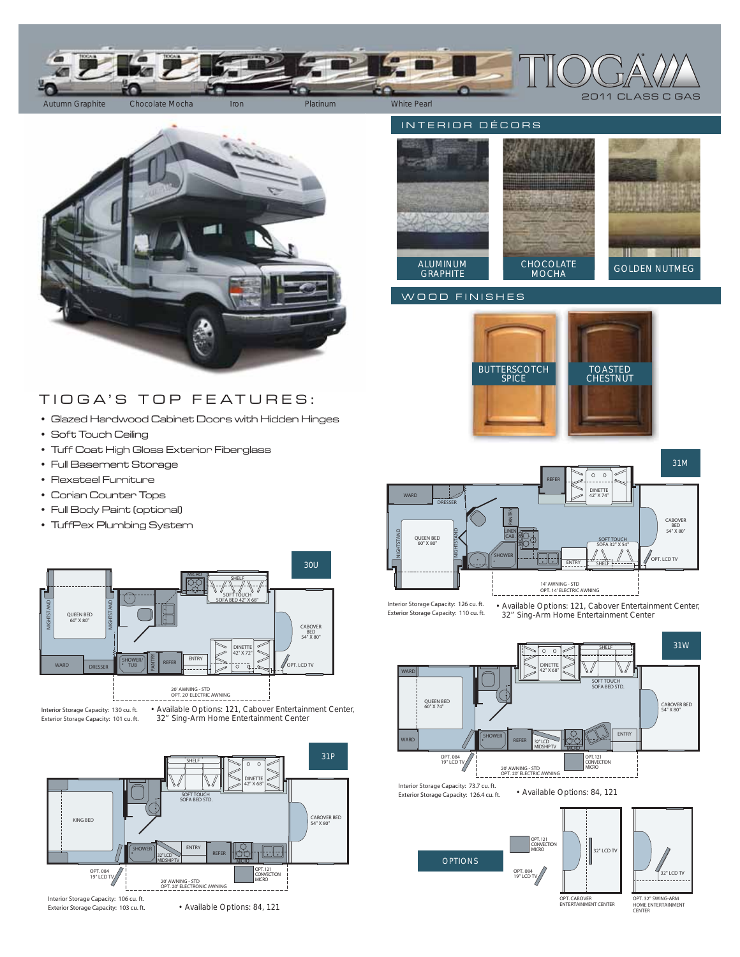



## TIOGA'S TOP FEATURES:

- Glazed Hardwood Cabinet Doors with Hidden Hinges
- Soft Touch Ceiling
- Tuff Coat High Gloss Exterior Fiberglass
- Full Basement Storage
- Flexsteel Furniture
- Corian Counter Tops
- Full Body Paint (optional)
- TuffPex Plumbing System



Interior Storage Capacity: 130 cu. ft. Exterior Storage Capacity: 101 cu. ft.

32" Sing-Arm Home Entertainment Center



INTERIOR DÉCORS TIN BENTING CHOCOLATE MOCHA GOLDEN NUTMEG **GRAPHITE** 

## WOOD FINISHES





32″ Sing-Arm Home Entertainment Center • Available Options: 121, Cabover Entertainment Center,



Interior Storage Capacity: 73.7 cu. ft. Exterior Storage Capacity: 126.4 cu. ft.







OPT. CABOVER ENTERTAINMENT CENTER

OPT. 32" SWING-ARM HOME ENTERTAINMENT **CENTER** 

• Available Options: 84, 121